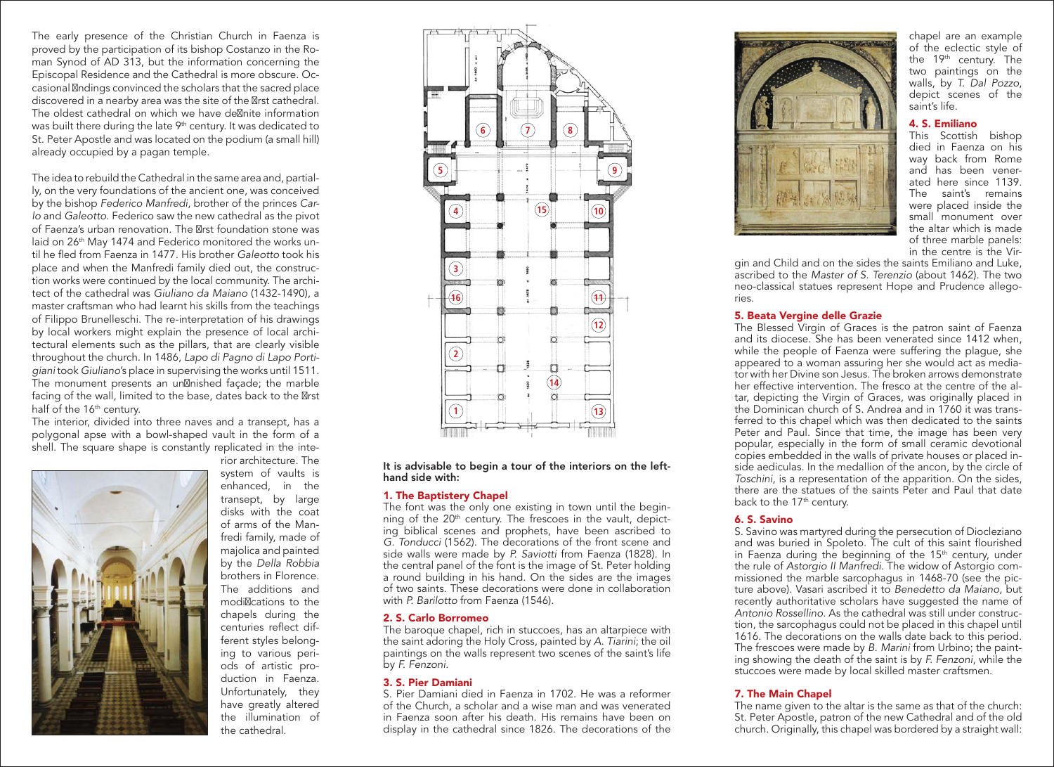The early presence of the Christian Church in Faenza is proved by the participation of its bishop Costanzo in the Roman Synod of AD 313, but the information concerning the Episcopal Residence and the Cathedral is more obscure. Occasional f ndings convinced the scholars that the sacred place discovered in a nearby area was the site of the f rst cathedral. The oldest cathedral on which we have def nite information was built there during the late 9<sup>th</sup> century. It was dedicated to St. Peter Apostle and was located on the podium (a small hill) already occupied by a pagan temple.

The idea to rebuild the Cathedral in the same area and, partially, on the very foundations of the ancient one, was conceived by the bishop *Federico Manfredi*, brother of the princes *Carlo* and *Galeotto*. Federico saw the new cathedral as the pivot of Faenza's urban renovation. The first foundation stone was laid on 26<sup>th</sup> May 1474 and Federico monitored the works until he fled from Faenza in 1477. His brother *Galeotto* took his place and when the Manfredi family died out, the construction works were continued by the local community. The architect of the cathedral was *Giuliano da Maiano* (1432-1490), a master craftsman who had learnt his skills from the teachings of Filippo Brunelleschi. The re-interpretation of his drawings by local workers might explain the presence of local architectural elements such as the pillars, that are clearly visible throughout the church. In 1486, *Lapo di Pagno di Lapo Portigiani* took *Giuliano*'s place in supervising the works until 1511. The monument presents an unfinished façade; the marble facing of the wall, limited to the base, dates back to the first half of the 16<sup>th</sup> century.

The interior, divided into three naves and a transept, has a polygonal apse with a bowl-shaped vault in the form of a shell. The square shape is constantly replicated in the inte-



rior architecture. The system of vaults is enhanced, in the transept, by large disks with the coat of arms of the Manfredi family, made of majolica and painted by the *Della Robbia* brothers in Florence. The additions and modif cations to the chapels during the centuries reflect different styles belonging to various periods of artistic production in Faenza. Unfortunately, they have greatly altered the illumination of the cathedral.



It is advisable to begin a tour of the interiors on the lefthand side with:

#### 1. The Baptistery Chapel

The font was the only one existing in town until the beginning of the  $20<sup>th</sup>$  century. The frescoes in the vault, depicting biblical scenes and prophets, have been ascribed to *G. Tonducci* (1562). The decorations of the front scene and side walls were made by *P. Saviotti* from Faenza (1828). In the central panel of the font is the image of St. Peter holding a round building in his hand. On the sides are the images of two saints. These decorations were done in collaboration with *P. Barilotto* from Faenza (1546).

## 2. S. Carlo Borromeo

The baroque chapel, rich in stuccoes, has an altarpiece with the saint adoring the Holy Cross, painted by *A. Tiarini*; the oil paintings on the walls represent two scenes of the saint's life by *F. Fenzoni*.

#### 3. S. Pier Damiani

S. Pier Damiani died in Faenza in 1702. He was a reformer of the Church, a scholar and a wise man and was venerated in Faenza soon after his death. His remains have been on display in the cathedral since 1826. The decorations of the



chapel are an example of the eclectic style of the 19<sup>th</sup> century. The two paintings on the walls, by *T. Dal Pozzo*, depict scenes of the saint's life.

## 4. S. Emiliano

This Scottish bishop died in Faenza on his way back from Rome and has been venerated here since 1139. The saint's remains were placed inside the small monument over the altar which is made of three marble panels: in the centre is the Vir-

gin and Child and on the sides the saints Emiliano and Luke, ascribed to the *Master of S. Terenzio* (about 1462). The two neo-classical statues represent Hope and Prudence allegories.

#### 5. Beata Vergine delle Grazie

The Blessed Virgin of Graces is the patron saint of Faenza and its diocese. She has been venerated since 1412 when, while the people of Faenza were suffering the plague, she appeared to a woman assuring her she would act as mediator with her Divine son Jesus. The broken arrows demonstrate her effective intervention. The fresco at the centre of the altar, depicting the Virgin of Graces, was originally placed in the Dominican church of S. Andrea and in 1760 it was transferred to this chapel which was then dedicated to the saints Peter and Paul. Since that time, the image has been very popular, especially in the form of small ceramic devotional copies embedded in the walls of private houses or placed inside aediculas. In the medallion of the ancon, by the circle of *Toschini*, is a representation of the apparition. On the sides, there are the statues of the saints Peter and Paul that date back to the 17<sup>th</sup> century.

## 6. S. Savino

S. Savino was martyred during the persecution of Diocleziano and was buried in Spoleto. The cult of this saint flourished in Faenza during the beginning of the  $15<sup>th</sup>$  century, under the rule of *Astorgio II Manfredi*. The widow of Astorgio commissioned the marble sarcophagus in 1468-70 (see the picture above). Vasari ascribed it to *Benedetto da Maiano*, but recently authoritative scholars have suggested the name of *Antonio Rossellino*. As the cathedral was still under construction, the sarcophagus could not be placed in this chapel until 1616. The decorations on the walls date back to this period. The frescoes were made by *B. Marini* from Urbino; the painting showing the death of the saint is by *F. Fenzoni*, while the stuccoes were made by local skilled master craftsmen.

#### 7. The Main Chapel

The name given to the altar is the same as that of the church: St. Peter Apostle, patron of the new Cathedral and of the old church. Originally, this chapel was bordered by a straight wall: